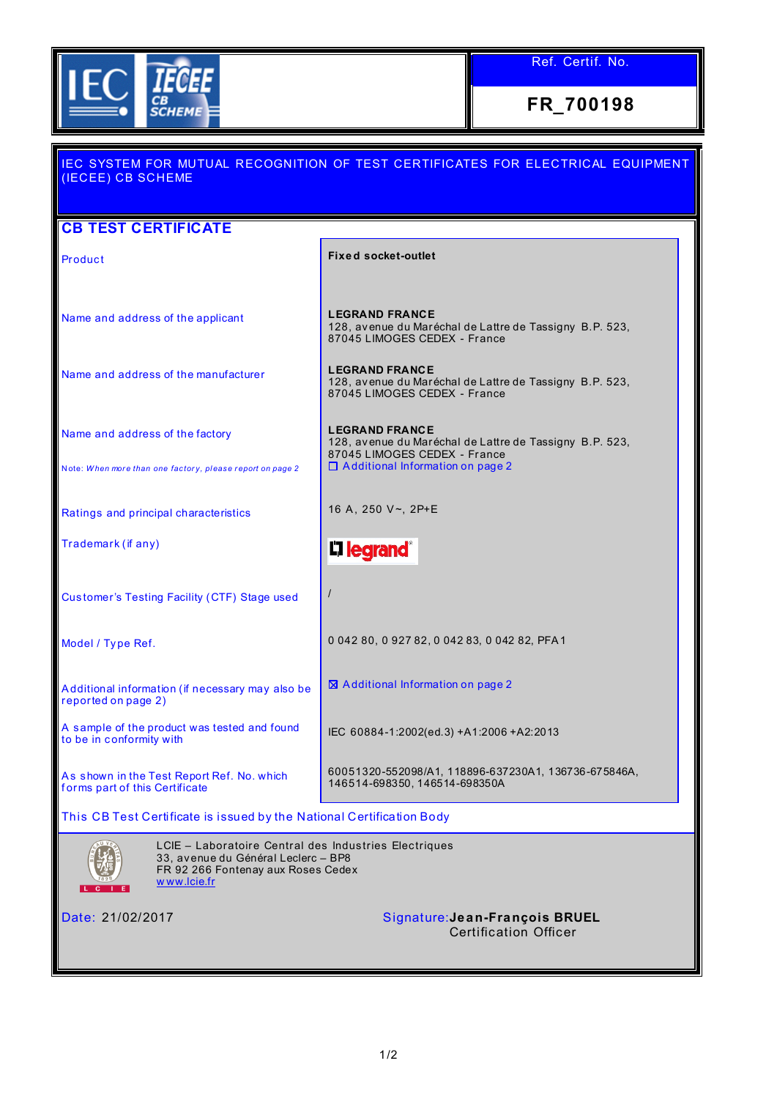

Ref. Certif. No.

**FR\_700198**

| <u>IEC SYSTEM FOR MUTUAL RECOGNITION OF TEST CERTIFICATES FOR ELECTRICAL EQUIPMENT</u><br>(IECEE) CB SCHEME                                                |                                                                                                                  |  |  |  |
|------------------------------------------------------------------------------------------------------------------------------------------------------------|------------------------------------------------------------------------------------------------------------------|--|--|--|
| <b>CB TEST CERTIFICATE</b>                                                                                                                                 |                                                                                                                  |  |  |  |
| Product                                                                                                                                                    | <b>Fixed socket-outlet</b>                                                                                       |  |  |  |
|                                                                                                                                                            |                                                                                                                  |  |  |  |
| Name and address of the applicant                                                                                                                          | <b>LEGRAND FRANCE</b><br>128, avenue du Maréchal de Lattre de Tassigny B.P. 523,<br>87045 LIMOGES CEDEX - France |  |  |  |
| Name and address of the manufacturer                                                                                                                       | <b>LEGRAND FRANCE</b><br>128, avenue du Maréchal de Lattre de Tassigny B.P. 523,<br>87045 LIMOGES CEDEX - France |  |  |  |
| Name and address of the factory                                                                                                                            | <b>LEGRAND FRANCE</b><br>128, avenue du Maréchal de Lattre de Tassigny B.P. 523,<br>87045 LIMOGES CEDEX - France |  |  |  |
| Note: When more than one factory, please report on page 2                                                                                                  | $\Box$ Additional Information on page 2                                                                          |  |  |  |
| Ratings and principal characteristics                                                                                                                      | 16 A, 250 V~, 2P+E                                                                                               |  |  |  |
| Trademark (if any)                                                                                                                                         | <b>L1 legrand</b> ®                                                                                              |  |  |  |
| Customer's Testing Facility (CTF) Stage used                                                                                                               |                                                                                                                  |  |  |  |
| Model / Type Ref.                                                                                                                                          | 0 042 80, 0 927 82, 0 042 83, 0 042 82, PFA1                                                                     |  |  |  |
| Additional information (if necessary may also be<br>reported on page 2)                                                                                    | $\boxtimes$ Additional Information on page 2                                                                     |  |  |  |
| A sample of the product was tested and found<br>to be in conformity with                                                                                   | IEC 60884-1:2002(ed.3) +A1:2006 +A2:2013                                                                         |  |  |  |
| As shown in the Test Report Ref. No. which<br>forms part of this Certificate                                                                               | 60051320-552098/A1, 118896-637230A1, 136736-675846A,<br>146514-698350, 146514-698350A                            |  |  |  |
| This CB Test Certificate is issued by the National Certification Body                                                                                      |                                                                                                                  |  |  |  |
| LCIE - Laboratoire Central des Industries Electriques<br>33, avenue du Général Leclerc - BP8<br>FR 92 266 Fontenay aux Roses Cedex<br>www.lcie.fr<br>LC IE |                                                                                                                  |  |  |  |
| Date: 21/02/2017                                                                                                                                           | Signature: Jean-François BRUEL<br><b>Certification Officer</b>                                                   |  |  |  |